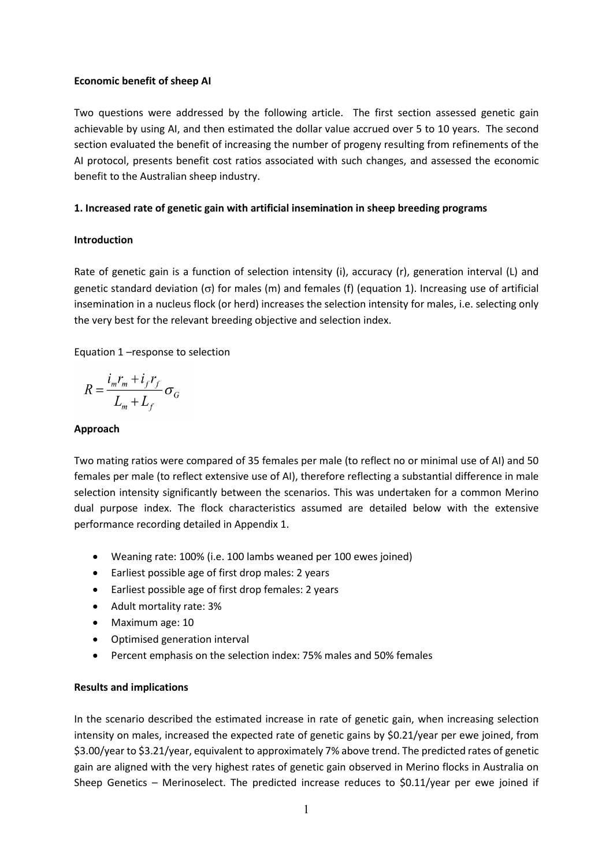#### **Economic benefit of sheep AI**

Two questions were addressed by the following article. The first section assessed genetic gain achievable by using AI, and then estimated the dollar value accrued over 5 to 10 years. The second section evaluated the benefit of increasing the number of progeny resulting from refinements of the AI protocol, presents benefit cost ratios associated with such changes, and assessed the economic benefit to the Australian sheep industry.

## **1. Increased rate of genetic gain with artificial insemination in sheep breeding programs**

## **Introduction**

Rate of genetic gain is a function of selection intensity (i), accuracy (r), generation interval (L) and genetic standard deviation (σ) for males (m) and females (f) (equation 1). Increasing use of artificial insemination in a nucleus flock (or herd) increases the selection intensity for males, i.e. selecting only the very best for the relevant breeding objective and selection index.

Equation 1 –response to selection

$$
R = \frac{i_m r_m + i_f r_f}{L_m + L_f} \sigma_G
$$

## **Approach**

Two mating ratios were compared of 35 females per male (to reflect no or minimal use of AI) and 50 females per male (to reflect extensive use of AI), therefore reflecting a substantial difference in male selection intensity significantly between the scenarios. This was undertaken for a common Merino dual purpose index. The flock characteristics assumed are detailed below with the extensive performance recording detailed in Appendix 1.

- Weaning rate: 100% (i.e. 100 lambs weaned per 100 ewes joined)
- Earliest possible age of first drop males: 2 years
- Earliest possible age of first drop females: 2 years
- Adult mortality rate: 3%
- Maximum age: 10
- Optimised generation interval
- Percent emphasis on the selection index: 75% males and 50% females

## **Results and implications**

In the scenario described the estimated increase in rate of genetic gain, when increasing selection intensity on males, increased the expected rate of genetic gains by \$0.21/year per ewe joined, from \$3.00/year to \$3.21/year, equivalent to approximately 7% above trend. The predicted rates of genetic gain are aligned with the very highest rates of genetic gain observed in Merino flocks in Australia on Sheep Genetics – Merinoselect. The predicted increase reduces to \$0.11/year per ewe joined if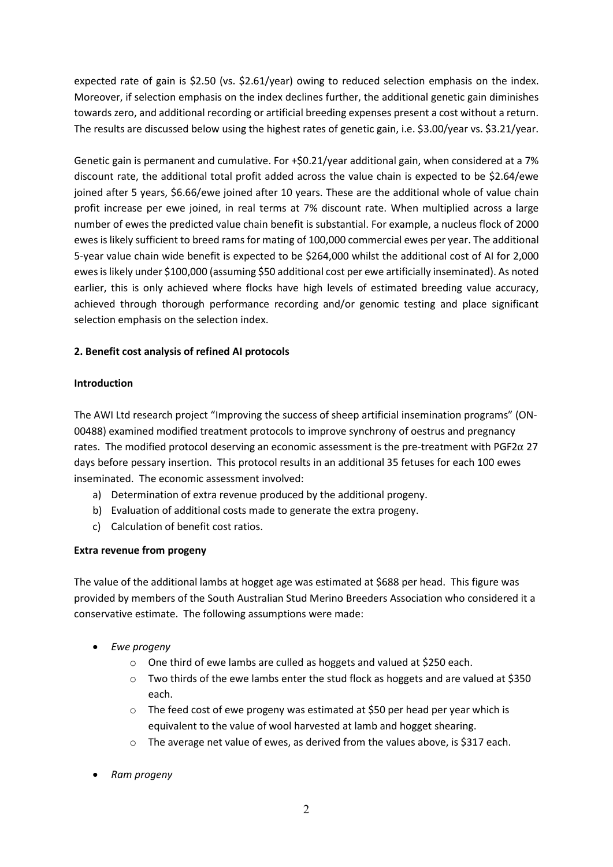expected rate of gain is \$2.50 (vs. \$2.61/year) owing to reduced selection emphasis on the index. Moreover, if selection emphasis on the index declines further, the additional genetic gain diminishes towards zero, and additional recording or artificial breeding expenses present a cost without a return. The results are discussed below using the highest rates of genetic gain, i.e. \$3.00/year vs. \$3.21/year.

Genetic gain is permanent and cumulative. For +\$0.21/year additional gain, when considered at a 7% discount rate, the additional total profit added across the value chain is expected to be \$2.64/ewe joined after 5 years, \$6.66/ewe joined after 10 years. These are the additional whole of value chain profit increase per ewe joined, in real terms at 7% discount rate. When multiplied across a large number of ewes the predicted value chain benefit is substantial. For example, a nucleus flock of 2000 ewes is likely sufficient to breed rams for mating of 100,000 commercial ewes per year. The additional 5-year value chain wide benefit is expected to be \$264,000 whilst the additional cost of AI for 2,000 ewes is likely under \$100,000 (assuming \$50 additional cost per ewe artificially inseminated). As noted earlier, this is only achieved where flocks have high levels of estimated breeding value accuracy, achieved through thorough performance recording and/or genomic testing and place significant selection emphasis on the selection index.

# **2. Benefit cost analysis of refined AI protocols**

## **Introduction**

The AWI Ltd research project "Improving the success of sheep artificial insemination programs" (ON-00488) examined modified treatment protocols to improve synchrony of oestrus and pregnancy rates. The modified protocol deserving an economic assessment is the pre-treatment with PGF2 $\alpha$  27 days before pessary insertion. This protocol results in an additional 35 fetuses for each 100 ewes inseminated. The economic assessment involved:

- a) Determination of extra revenue produced by the additional progeny.
- b) Evaluation of additional costs made to generate the extra progeny.
- c) Calculation of benefit cost ratios.

# **Extra revenue from progeny**

The value of the additional lambs at hogget age was estimated at \$688 per head. This figure was provided by members of the South Australian Stud Merino Breeders Association who considered it a conservative estimate. The following assumptions were made:

- *Ewe progeny*
	- o One third of ewe lambs are culled as hoggets and valued at \$250 each.
	- $\circ$  Two thirds of the ewe lambs enter the stud flock as hoggets and are valued at \$350 each.
	- o The feed cost of ewe progeny was estimated at \$50 per head per year which is equivalent to the value of wool harvested at lamb and hogget shearing.
	- $\circ$  The average net value of ewes, as derived from the values above, is \$317 each.
- *Ram progeny*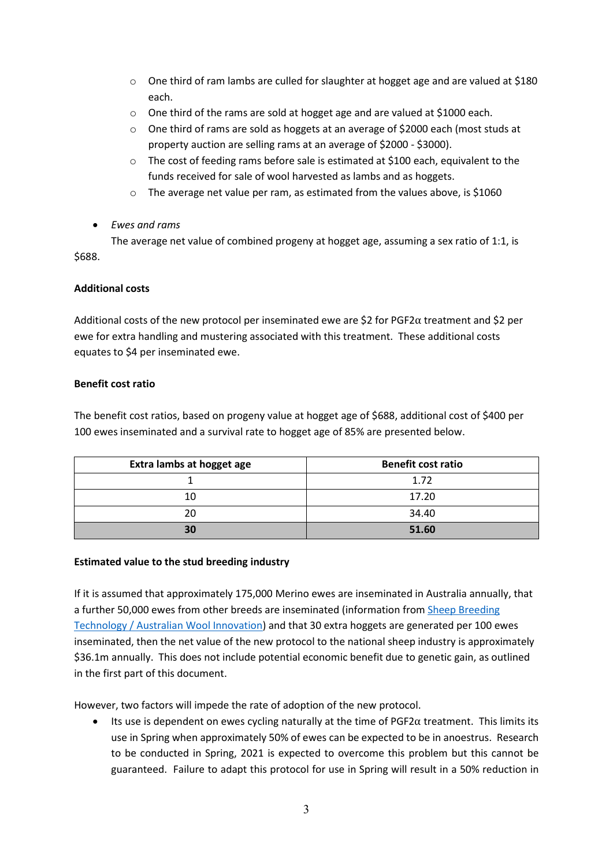- $\circ$  One third of ram lambs are culled for slaughter at hogget age and are valued at \$180 each.
- o One third of the rams are sold at hogget age and are valued at \$1000 each.
- o One third of rams are sold as hoggets at an average of \$2000 each (most studs at property auction are selling rams at an average of \$2000 - \$3000).
- o The cost of feeding rams before sale is estimated at \$100 each, equivalent to the funds received for sale of wool harvested as lambs and as hoggets.
- $\circ$  The average net value per ram, as estimated from the values above, is \$1060
- *Ewes and rams*

The average net value of combined progeny at hogget age, assuming a sex ratio of 1:1, is \$688.

# **Additional costs**

Additional costs of the new protocol per inseminated ewe are \$2 for PGF2 $\alpha$  treatment and \$2 per ewe for extra handling and mustering associated with this treatment. These additional costs equates to \$4 per inseminated ewe.

# **Benefit cost ratio**

The benefit cost ratios, based on progeny value at hogget age of \$688, additional cost of \$400 per 100 ewes inseminated and a survival rate to hogget age of 85% are presented below.

| Extra lambs at hogget age | <b>Benefit cost ratio</b> |  |  |
|---------------------------|---------------------------|--|--|
|                           | 1.72                      |  |  |
| 10                        | 17.20                     |  |  |
| 20                        | 34.40                     |  |  |
| 30                        | 51.60                     |  |  |

# **Estimated value to the stud breeding industry**

If it is assumed that approximately 175,000 Merino ewes are inseminated in Australia annually, that a further 50,000 ewes from other breeds are inseminated (information from [Sheep Breeding](https://www.wool.com/sheep/genetics/breeding-technology/)  Technology / [Australian Wool Innovation\)](https://www.wool.com/sheep/genetics/breeding-technology/) and that 30 extra hoggets are generated per 100 ewes inseminated, then the net value of the new protocol to the national sheep industry is approximately \$36.1m annually. This does not include potential economic benefit due to genetic gain, as outlined in the first part of this document.

However, two factors will impede the rate of adoption of the new protocol.

• Its use is dependent on ewes cycling naturally at the time of  $PGF2\alpha$  treatment. This limits its use in Spring when approximately 50% of ewes can be expected to be in anoestrus. Research to be conducted in Spring, 2021 is expected to overcome this problem but this cannot be guaranteed. Failure to adapt this protocol for use in Spring will result in a 50% reduction in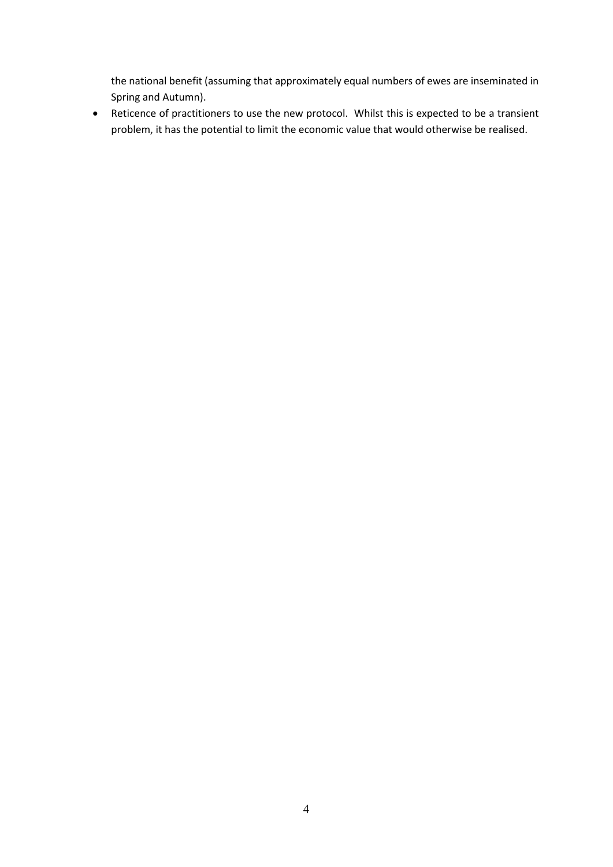the national benefit (assuming that approximately equal numbers of ewes are inseminated in Spring and Autumn).

• Reticence of practitioners to use the new protocol. Whilst this is expected to be a transient problem, it has the potential to limit the economic value that would otherwise be realised.